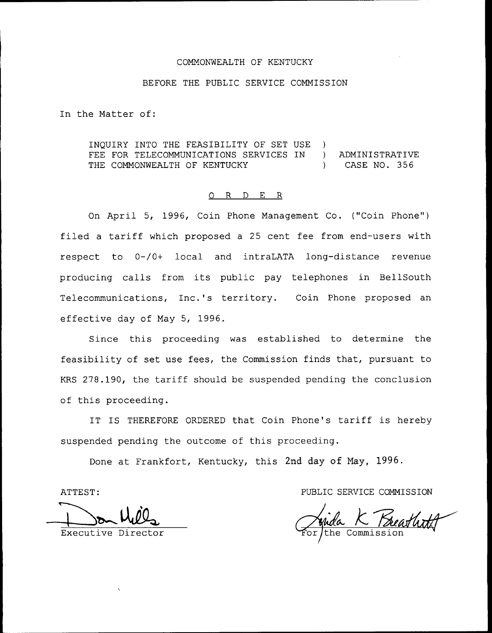### COMMONWEALTH OF KENTUCKY

#### BEFORE THE PUBLIC SERVICE COMMISSION

In the Matter of:

INQUIRY INTO THE FEASIBILITY OF SET USE ) FEE FOR TELECOMMUNICATIONS SERVICES IN ) ADMINISTRATIVE THE COMMONWEALTH OF KENTUCKY (and the set of the case no. 356

## 0 R <sup>D</sup> E R

On April 5, 1996, Coin Phone Management Co. ("Coin Phone" ) filed <sup>a</sup> tariff which proposed <sup>a</sup> <sup>25</sup> cent fee from end-users with respect to 0-/0+ local and intraLATA long-distance revenue producing calls from its public pay telephones in BellSouth Telecommunications, Inc.'s territory. Coin Phone proposed an effective day of May 5, 1996.

Since this proceeding was established to determine the feasibility of set use fees, the Commission finds that, pursuant to KRS 278.190, the tariff should be suspended pending the conclusion of this proceeding.

IT IS THEREFORE ORDERED that Coin Phone's tariff is hereby suspended pending the outcome of this proceeding.

Done at Frankfort, Kentucky, this 2nd day of May, 1996.

ATTEST: PUBLIC SERVICE COMMISSION

Executive Director Commission